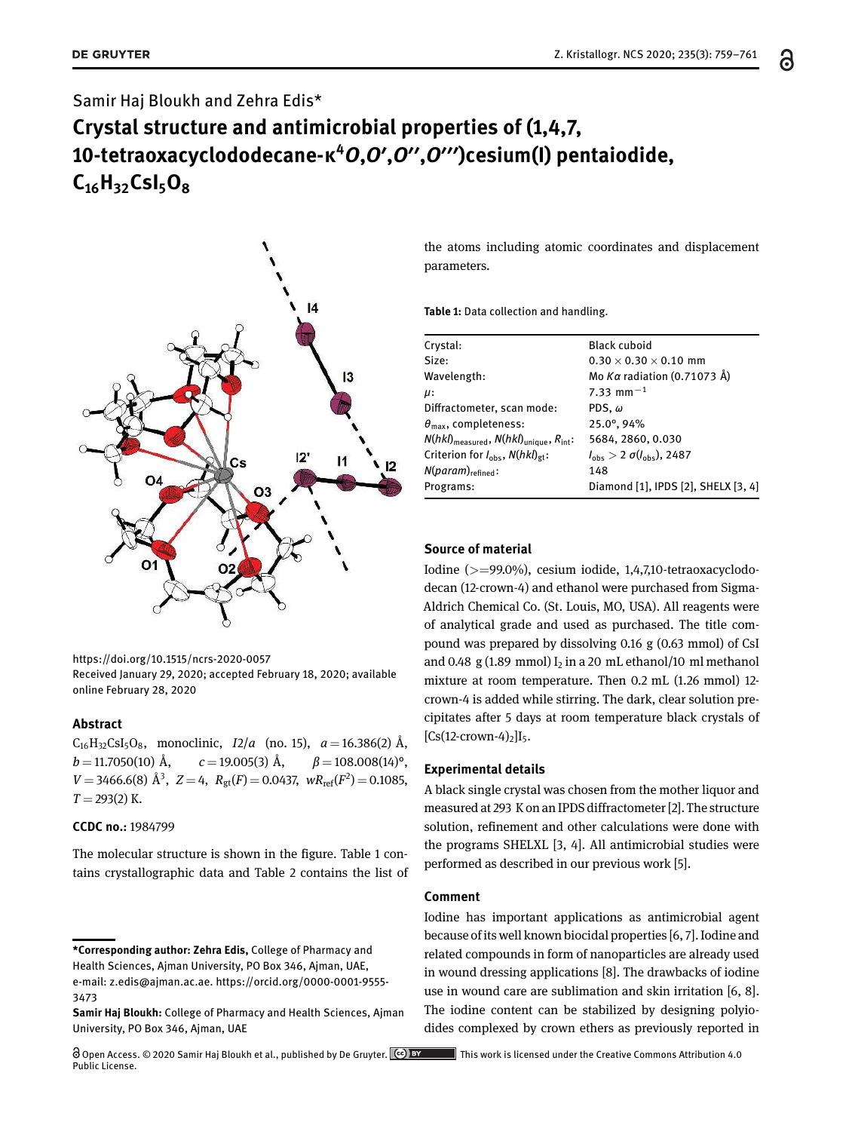# Samir Haj Bloukh and Zehra Edis\* **Crystal structure and antimicrobial properties of (1,4,7, 10-tetraoxacyclododecane-κ<sup>4</sup>***O***,***O***′,***O***′′,***O***′′′)cesium(I) pentaiodide, C16H32CsI5O<sup>8</sup>**



https://doi.org/10.1515/ncrs-2020-0057 Received January 29, 2020; accepted February 18, 2020; available online February 28, 2020

#### **Abstract**

 $C_{16}H_{32}CsI_5O_8$ , monoclinic,  $I2/a$  (no. 15),  $a=16.386(2)$  Å,  $b = 11.7050(10)$  Å,  $c = 19.005(3)$  Å,  $\beta = 108.008(14)$ °,  $V = 3466.6(8)$   $\AA^3$ ,  $Z = 4$ ,  $R_{gt}(F) = 0.0437$ ,  $wR_{ref}(F^2) = 0.1085$ ,  $T = 293(2)$  K.

#### **CCDC no.:** 1984799

The molecular structure is shown in the figure. Table 1 contains crystallographic data and Table 2 contains the list of

the atoms including atomic coordinates and displacement parameters.

**Table 1:** Data collection and handling.

| Crystal:                                                                | <b>Black cuboid</b>                          |
|-------------------------------------------------------------------------|----------------------------------------------|
| Size:                                                                   | $0.30 \times 0.30 \times 0.10$ mm            |
| Wavelength:                                                             | Mo Kα radiation (0.71073 Å)                  |
| $\mu$ :                                                                 | 7.33 mm <sup><math>-1</math></sup>           |
| Diffractometer, scan mode:                                              | PDS, $\omega$                                |
| $\theta_{\text{max}}$ , completeness:                                   | 25.0°, 94%                                   |
| $N(hkl)$ <sub>measured</sub> , $N(hkl)$ <sub>unique</sub> , $R_{int}$ : | 5684, 2860, 0.030                            |
| Criterion for $I_{\text{obs}}$ , $N(hkl)_{\text{gt}}$ :                 | $l_{\rm obs} > 2 \sigma(l_{\rm obs})$ , 2487 |
| $N(param)_{refined}$ :                                                  | 148                                          |
| Programs:                                                               | Diamond [1], IPDS [2], SHELX [3, 4]          |
|                                                                         |                                              |

### **Source of material**

Iodine (>=99.0%), cesium iodide, 1,4,7,10-tetraoxacyclododecan (12-crown-4) and ethanol were purchased from Sigma-Aldrich Chemical Co. (St. Louis, MO, USA). All reagents were of analytical grade and used as purchased. The title compound was prepared by dissolving 0.16 g (0.63 mmol) of CsI and 0.48 g (1.89 mmol)  $I_2$  in a 20 mL ethanol/10 ml methanol mixture at room temperature. Then 0.2 mL (1.26 mmol) 12 crown-4 is added while stirring. The dark, clear solution precipitates after 5 days at room temperature black crystals of  $[Cs(12-crown-4)<sub>2</sub>]I<sub>5</sub>$ .

## **Experimental details**

A black single crystal was chosen from the mother liquor and measured at 293 K on an IPDS diffractometer [2]. The structure solution, refinement and other calculations were done with the programs SHELXL [3, 4]. All antimicrobial studies were performed as described in our previous work [5].

### **Comment**

Iodine has important applications as antimicrobial agent because of its well known biocidal properties [6, 7]. Iodine and related compounds in form of nanoparticles are already used in wound dressing applications [8]. The drawbacks of iodine use in wound care are sublimation and skin irritation [6, 8]. The iodine content can be stabilized by designing polyiodides complexed by crown ethers as previously reported in

**<sup>\*</sup>Corresponding author: Zehra Edis,** College of Pharmacy and Health Sciences, Ajman University, PO Box 346, Ajman, UAE, e-mail: z.edis@ajman.ac.ae. https://orcid.org/0000-0001-9555- 3473

**Samir Haj Bloukh:** College of Pharmacy and Health Sciences, Ajman University, PO Box 346, Ajman, UAE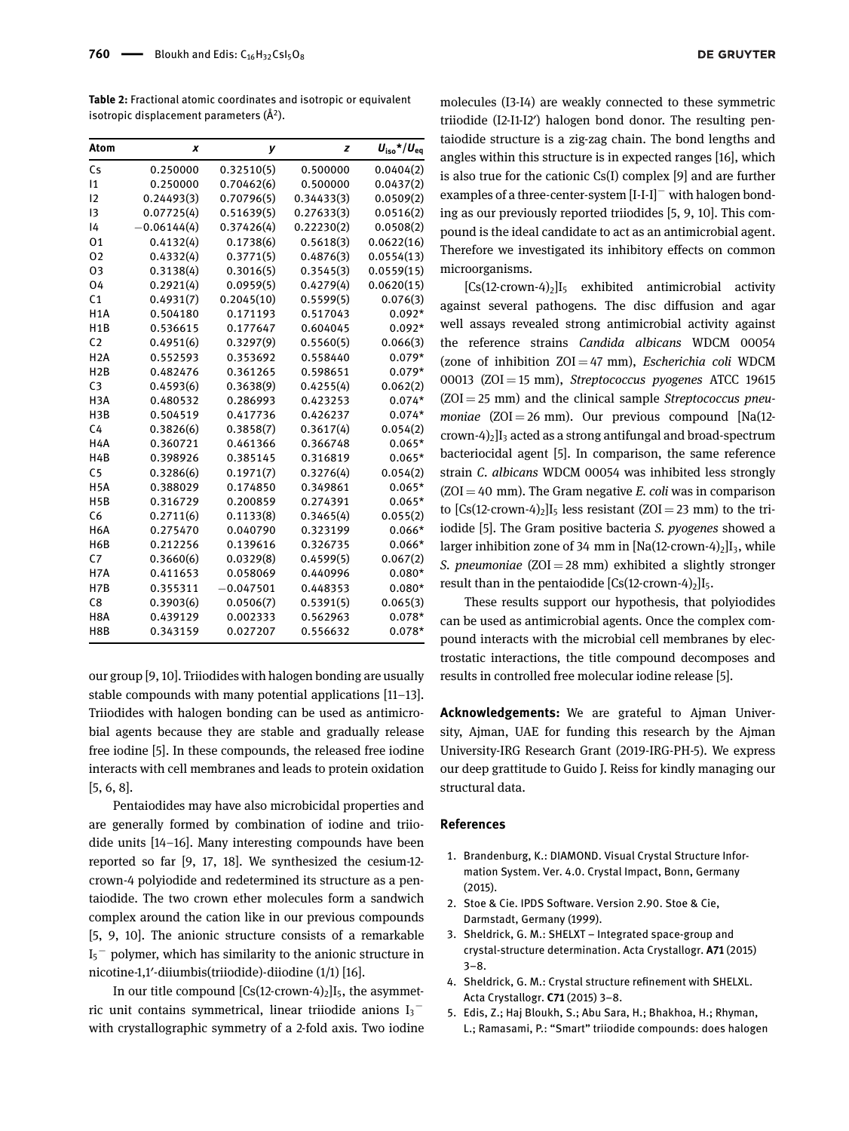**Table 2:** Fractional atomic coordinates and isotropic or equivalent isotropic displacement parameters (Å<sup>2</sup>).

| Atom             | x             | у           | z          | $U_{\text{iso}}$ */ $U_{\text{eq}}$ |
|------------------|---------------|-------------|------------|-------------------------------------|
| Cs               | 0.250000      | 0.32510(5)  | 0.500000   | 0.0404(2)                           |
| 1                | 0.250000      | 0.70462(6)  | 0.500000   | 0.0437(2)                           |
| 12               | 0.24493(3)    | 0.70796(5)  | 0.34433(3) | 0.0509(2)                           |
| $\overline{13}$  | 0.07725(4)    | 0.51639(5)  | 0.27633(3) | 0.0516(2)                           |
| 4                | $-0.06144(4)$ | 0.37426(4)  | 0.22230(2) | 0.0508(2)                           |
| 01               | 0.4132(4)     | 0.1738(6)   | 0.5618(3)  | 0.0622(16)                          |
| 02               | 0.4332(4)     | 0.3771(5)   | 0.4876(3)  | 0.0554(13)                          |
| 03               | 0.3138(4)     | 0.3016(5)   | 0.3545(3)  | 0.0559(15)                          |
| 04               | 0.2921(4)     | 0.0959(5)   | 0.4279(4)  | 0.0620(15)                          |
| C <sub>1</sub>   | 0.4931(7)     | 0.2045(10)  | 0.5599(5)  | 0.076(3)                            |
| H <sub>1</sub> A | 0.504180      | 0.171193    | 0.517043   | $0.092*$                            |
| H1B              | 0.536615      | 0.177647    | 0.604045   | $0.092*$                            |
| C <sub>2</sub>   | 0.4951(6)     | 0.3297(9)   | 0.5560(5)  | 0.066(3)                            |
| H <sub>2</sub> A | 0.552593      | 0.353692    | 0.558440   | $0.079*$                            |
| H2B              | 0.482476      | 0.361265    | 0.598651   | $0.079*$                            |
| C <sub>3</sub>   | 0.4593(6)     | 0.3638(9)   | 0.4255(4)  | 0.062(2)                            |
| H <sub>3</sub> A | 0.480532      | 0.286993    | 0.423253   | $0.074*$                            |
| H <sub>3</sub> B | 0.504519      | 0.417736    | 0.426237   | $0.074*$                            |
| C <sub>4</sub>   | 0.3826(6)     | 0.3858(7)   | 0.3617(4)  | 0.054(2)                            |
| H4A              | 0.360721      | 0.461366    | 0.366748   | $0.065*$                            |
| H <sub>4</sub> B | 0.398926      | 0.385145    | 0.316819   | $0.065*$                            |
| C <sub>5</sub>   | 0.3286(6)     | 0.1971(7)   | 0.3276(4)  | 0.054(2)                            |
| H <sub>5</sub> A | 0.388029      | 0.174850    | 0.349861   | $0.065*$                            |
| H <sub>5</sub> B | 0.316729      | 0.200859    | 0.274391   | $0.065*$                            |
| C <sub>6</sub>   | 0.2711(6)     | 0.1133(8)   | 0.3465(4)  | 0.055(2)                            |
| H6A              | 0.275470      | 0.040790    | 0.323199   | $0.066*$                            |
| H6B              | 0.212256      | 0.139616    | 0.326735   | $0.066*$                            |
| C <sub>7</sub>   | 0.3660(6)     | 0.0329(8)   | 0.4599(5)  | 0.067(2)                            |
| H7A              | 0.411653      | 0.058069    | 0.440996   | $0.080*$                            |
| H7B              | 0.355311      | $-0.047501$ | 0.448353   | $0.080*$                            |
| C <sub>8</sub>   | 0.3903(6)     | 0.0506(7)   | 0.5391(5)  | 0.065(3)                            |
| H <sub>8</sub> A | 0.439129      | 0.002333    | 0.562963   | $0.078*$                            |
| H8B              | 0.343159      | 0.027207    | 0.556632   | $0.078*$                            |

our group [9, 10]. Triiodides with halogen bonding are usually stable compounds with many potential applications [11–13]. Triiodides with halogen bonding can be used as antimicrobial agents because they are stable and gradually release free iodine [5]. In these compounds, the released free iodine interacts with cell membranes and leads to protein oxidation [5, 6, 8].

Pentaiodides may have also microbicidal properties and are generally formed by combination of iodine and triiodide units [14–16]. Many interesting compounds have been reported so far [9, 17, 18]. We synthesized the cesium-12 crown-4 polyiodide and redetermined its structure as a pentaiodide. The two crown ether molecules form a sandwich complex around the cation like in our previous compounds [5, 9, 10]. The anionic structure consists of a remarkable  $\mathrm{I}_5^-$  polymer, which has similarity to the anionic structure in nicotine-1,1′-diiumbis(triiodide)-diiodine (1/1) [16].

In our title compound  $[Cs(12-crown-4)_2]I_5$ , the asymmetric unit contains symmetrical, linear triiodide anions  $I_3^$ with crystallographic symmetry of a 2-fold axis. Two iodine

molecules (I3-I4) are weakly connected to these symmetric triiodide (I2-I1-I2′) halogen bond donor. The resulting pentaiodide structure is a zig-zag chain. The bond lengths and angles within this structure is in expected ranges [16], which is also true for the cationic Cs(I) complex [9] and are further examples of a three-center-system [I-I-I]<sup>−</sup> with halogen bonding as our previously reported triiodides [5, 9, 10]. This compound is the ideal candidate to act as an antimicrobial agent. Therefore we investigated its inhibitory effects on common microorganisms.

 $[Cs(12-crown-4)<sub>2</sub>]I<sub>5</sub>$  exhibited antimicrobial activity against several pathogens. The disc diffusion and agar well assays revealed strong antimicrobial activity against the reference strains *Candida albicans* WDCM 00054 (zone of inhibition ZOI = 47 mm), *Escherichia coli* WDCM 00013 (ZOI = 15 mm), *Streptococcus pyogenes* ATCC 19615 (ZOI = 25 mm) and the clinical sample *Streptococcus pneumoniae* (ZOI = 26 mm). Our previous compound [Na(12crown-4)<sub>2</sub>] $I_3$  acted as a strong antifungal and broad-spectrum bacteriocidal agent [5]. In comparison, the same reference strain *C. albicans* WDCM 00054 was inhibited less strongly  $(ZOI = 40$  mm). The Gram negative *E*. *coli* was in comparison to  $[Cs(12-crown-4)_2]I_5$  less resistant  $(ZOI = 23 mm)$  to the triiodide [5]. The Gram positive bacteria *S. pyogenes* showed a larger inhibition zone of 34 mm in  $[Na(12-crown-4)_2]I_3$ , while *S. pneumoniae* (ZOI = 28 mm) exhibited a slightly stronger result than in the pentaiodide  $[Cs(12-crown-4)_2]I_5$ .

These results support our hypothesis, that polyiodides can be used as antimicrobial agents. Once the complex compound interacts with the microbial cell membranes by electrostatic interactions, the title compound decomposes and results in controlled free molecular iodine release [5].

**Acknowledgements:** We are grateful to Ajman University, Ajman, UAE for funding this research by the Ajman University-IRG Research Grant (2019-IRG-PH-5). We express our deep grattitude to Guido J. Reiss for kindly managing our structural data.

#### **References**

- 1. Brandenburg, K.: DIAMOND. Visual Crystal Structure Information System. Ver. 4.0. Crystal Impact, Bonn, Germany (2015).
- 2. Stoe & Cie. IPDS Software. Version 2.90. Stoe & Cie, Darmstadt, Germany (1999).
- 3. Sheldrick, G. M.: SHELXT Integrated space-group and crystal-structure determination. Acta Crystallogr. **A71** (2015)  $3 - 8$ .
- 4. Sheldrick, G. M.: Crystal structure refinement with SHELXL. Acta Crystallogr. **C71** (2015) 3-8.
- 5. Edis, Z.; Haj Bloukh, S.; Abu Sara, H.; Bhakhoa, H.; Rhyman, L.; Ramasami, P.: "Smart" triiodide compounds: does halogen